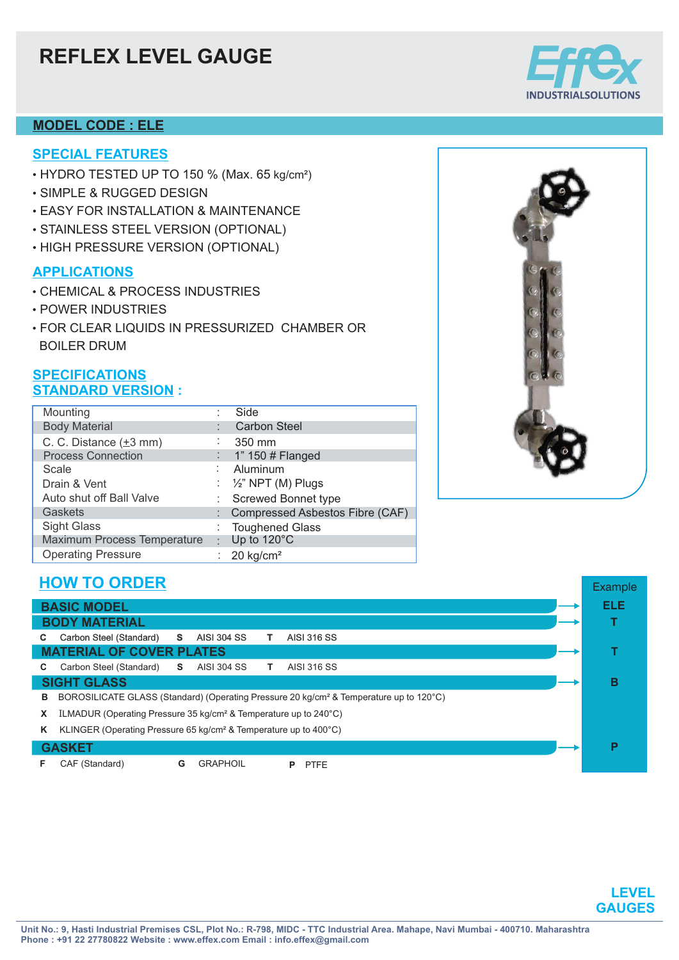# **REFLEX LEVEL GAUGE**

### **MODEL CODE : ELE**

### **SPECIAL FEATURES**

- $\bullet$  HYDRO TESTED UP TO 150 % (Max. 65 kg/cm²)
- SIMPLE & RUGGED DESIGN
- EASY FOR INSTALLATION & MAINTENANCE
- STAINLESS STEEL VERSION (OPTIONAL)
- HIGH PRESSURE VERSION (OPTIONAL)

#### **APPLICATIONS**

- CHEMICAL & PROCESS INDUSTRIES
- POWER INDUSTRIES
- FOR CLEAR LIQUIDS IN PRESSURIZED CHAMBER OR BOILER DRUM

#### **SPECIFICATIONS STANDARD VERSION :**

| Mounting                            |    | Side                            |
|-------------------------------------|----|---------------------------------|
| <b>Body Material</b>                |    | <b>Carbon Steel</b>             |
| C. C. Distance $(\pm 3 \text{ mm})$ |    | 350 mm                          |
| <b>Process Connection</b>           |    | 1" 150 # Flanged                |
| Scale                               |    | Aluminum                        |
| Drain & Vent                        |    | : $\frac{1}{2}$ " NPT (M) Plugs |
| Auto shut off Ball Valve            |    | <b>Screwed Bonnet type</b>      |
| Gaskets                             |    | Compressed Asbestos Fibre (CAF) |
| <b>Sight Glass</b>                  |    | <b>Toughened Glass</b>          |
| <b>Maximum Process Temperature</b>  | ÷. | Up to 120°C                     |
| <b>Operating Pressure</b>           |    | : $20 \text{ kg/cm}^2$          |



## **HOW TO ORDER**

| <b>BASIC MODEL</b>                                                                                      |                                                                                |  |   |  |  |  |
|---------------------------------------------------------------------------------------------------------|--------------------------------------------------------------------------------|--|---|--|--|--|
| <b>BODY MATERIAL</b>                                                                                    |                                                                                |  |   |  |  |  |
| C.                                                                                                      | Carbon Steel (Standard)<br><b>AISI 316 SS</b><br>s.<br><b>AISI 304 SS</b><br>т |  |   |  |  |  |
| <b>MATERIAL OF COVER PLATES</b>                                                                         |                                                                                |  |   |  |  |  |
| C.                                                                                                      | Carbon Steel (Standard)<br><b>AISI 304 SS</b><br><b>AISI 316 SS</b><br>S.      |  |   |  |  |  |
|                                                                                                         | <b>SIGHT GLASS</b>                                                             |  | В |  |  |  |
| BOROSILICATE GLASS (Standard) (Operating Pressure 20 kg/cm <sup>2</sup> & Temperature up to 120°C)<br>в |                                                                                |  |   |  |  |  |
| ILMADUR (Operating Pressure 35 kg/cm <sup>2</sup> & Temperature up to $240^{\circ}$ C)<br>X             |                                                                                |  |   |  |  |  |
| KLINGER (Operating Pressure 65 kg/cm <sup>2</sup> & Temperature up to $400^{\circ}$ C)<br>Κ             |                                                                                |  |   |  |  |  |
| <b>GASKET</b>                                                                                           |                                                                                |  |   |  |  |  |
| F.                                                                                                      | CAF (Standard)<br>G<br><b>GRAPHOIL</b><br><b>PTFE</b><br>Р                     |  |   |  |  |  |



Example